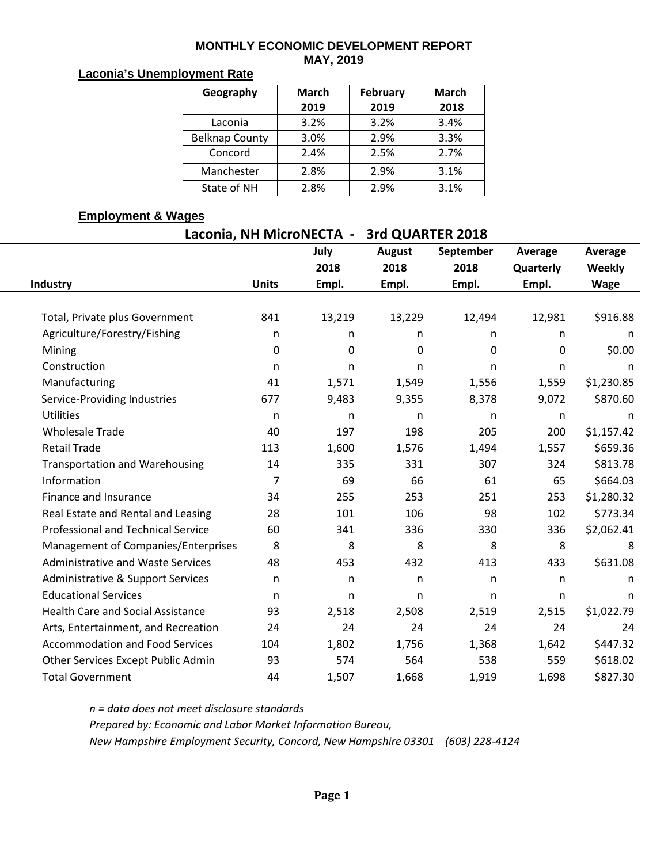#### **MONTHLY ECONOMIC DEVELOPMENT REPORT MAY, 2019**

### **Laconia's Unemployment Rate**

| Geography             | <b>March</b> | <b>February</b> | <b>March</b> |  |  |
|-----------------------|--------------|-----------------|--------------|--|--|
|                       | 2019         | 2019            | 2018         |  |  |
| Laconia               | 3.2%         | 3.2%            | 3.4%         |  |  |
| <b>Belknap County</b> | 3.0%         | 2.9%            | 3.3%         |  |  |
| Concord               | 2.4%         | 2.5%            | 2.7%         |  |  |
| Manchester            | 2.8%         | 2.9%            | 3.1%         |  |  |
| State of NH           | 2.8%         | 2.9%            | 3.1%         |  |  |

### **Employment & Wages**

| Laconia, NH MicroNECTA -                 | 3rd QUARTER 2018 |              |               |              |              |              |  |
|------------------------------------------|------------------|--------------|---------------|--------------|--------------|--------------|--|
|                                          |                  | July         | <b>August</b> | September    | Average      | Average      |  |
|                                          |                  | 2018         | 2018          | 2018         | Quarterly    | Weekly       |  |
| Industry                                 | <b>Units</b>     | Empl.        | Empl.         | Empl.        | Empl.        | <b>Wage</b>  |  |
|                                          |                  |              |               |              |              |              |  |
| Total, Private plus Government           | 841              | 13,219       | 13,229        | 12,494       | 12,981       | \$916.88     |  |
| Agriculture/Forestry/Fishing             | n                | n            | n             | n            | n            | n            |  |
| Mining                                   | 0                | $\mathbf 0$  | 0             | 0            | $\mathbf{0}$ | \$0.00       |  |
| Construction                             | n                | n            | n             | n            | $\mathsf{n}$ | n            |  |
| Manufacturing                            | 41               | 1,571        | 1,549         | 1,556        | 1,559        | \$1,230.85   |  |
| Service-Providing Industries             | 677              | 9,483        | 9,355         | 8,378        | 9,072        | \$870.60     |  |
| <b>Utilities</b>                         | $\mathsf{n}$     | $\mathsf{n}$ | n             | n            | n            | $\mathsf{n}$ |  |
| <b>Wholesale Trade</b>                   | 40               | 197          | 198           | 205          | 200          | \$1,157.42   |  |
| <b>Retail Trade</b>                      | 113              | 1,600        | 1,576         | 1,494        | 1,557        | \$659.36     |  |
| <b>Transportation and Warehousing</b>    | 14               | 335          | 331           | 307          | 324          | \$813.78     |  |
| Information                              | 7                | 69           | 66            | 61           | 65           | \$664.03     |  |
| Finance and Insurance                    | 34               | 255          | 253           | 251          | 253          | \$1,280.32   |  |
| Real Estate and Rental and Leasing       | 28               | 101          | 106           | 98           | 102          | \$773.34     |  |
| Professional and Technical Service       | 60               | 341          | 336           | 330          | 336          | \$2,062.41   |  |
| Management of Companies/Enterprises      | 8                | 8            | 8             | 8            | 8            | 8            |  |
| <b>Administrative and Waste Services</b> | 48               | 453          | 432           | 413          | 433          | \$631.08     |  |
| Administrative & Support Services        | n.               | n            | n             | $\mathsf{n}$ | $\mathsf{n}$ | n            |  |
| <b>Educational Services</b>              | $\mathsf{n}$     | $\mathsf{n}$ | n             | n            | $\mathsf{n}$ | n            |  |
| <b>Health Care and Social Assistance</b> | 93               | 2,518        | 2,508         | 2,519        | 2,515        | \$1,022.79   |  |
| Arts, Entertainment, and Recreation      | 24               | 24           | 24            | 24           | 24           | 24           |  |
| <b>Accommodation and Food Services</b>   | 104              | 1,802        | 1,756         | 1,368        | 1,642        | \$447.32     |  |
| Other Services Except Public Admin       | 93               | 574          | 564           | 538          | 559          | \$618.02     |  |
| <b>Total Government</b>                  | 44               | 1,507        | 1,668         | 1,919        | 1,698        | \$827.30     |  |

*n = data does not meet disclosure standards Prepared by: Economic and Labor Market Information Bureau, New Hampshire Employment Security, Concord, New Hampshire 03301 (603) 228-4124*